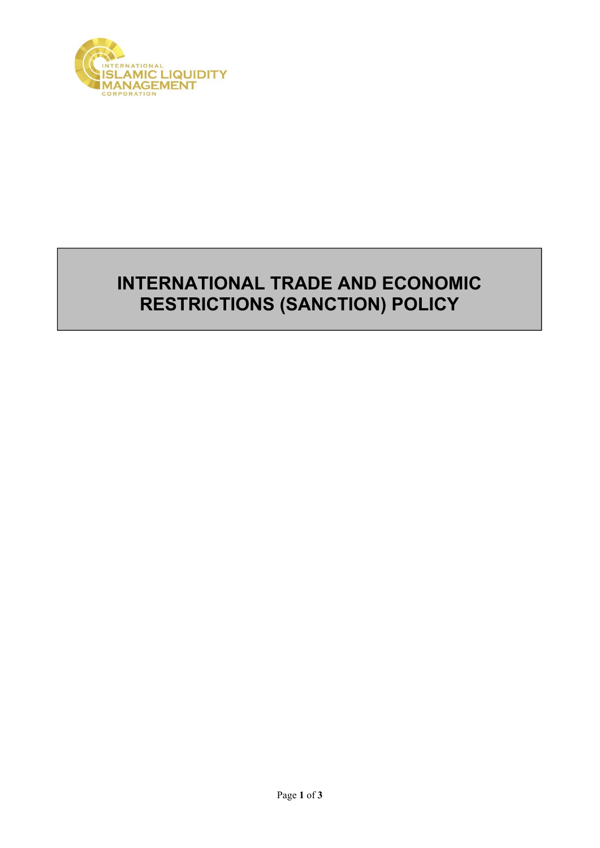

## **INTERNATIONAL TRADE AND ECONOMIC RESTRICTIONS (SANCTION) POLICY**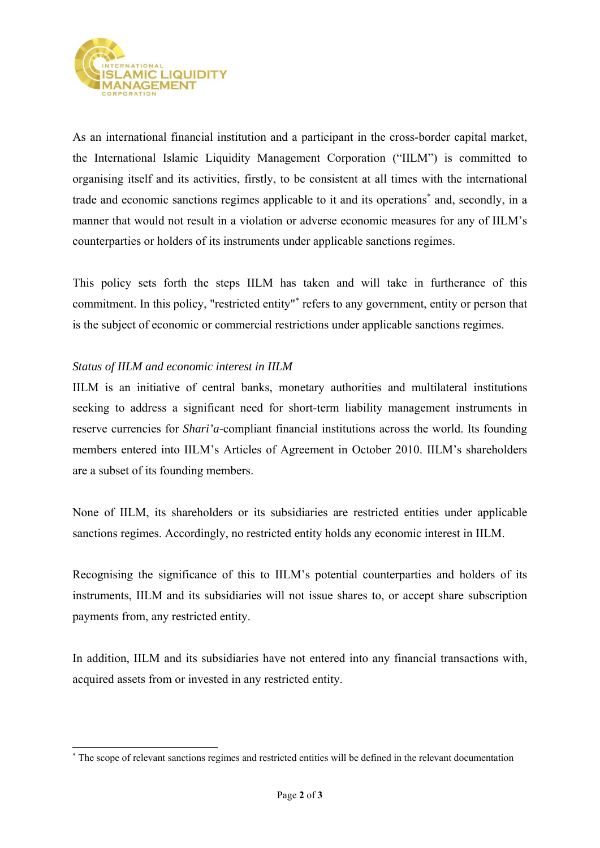

As an international financial institution and a participant in the cross-border capital market, the International Islamic Liquidity Management Corporation ("IILM") is committed to organising itself and its activities, firstly, to be consistent at all times with the international trade and economic sanctions regimes applicable to it and its operations<sup>\*</sup> and, secondly, in a manner that would not result in a violation or adverse economic measures for any of IILM's counterparties or holders of its instruments under applicable sanctions regimes.

This policy sets forth the steps IILM has taken and will take in furtherance of this commitment. In this policy, "restricted entity"<sup>\*</sup> refers to any government, entity or person that is the subject of economic or commercial restrictions under applicable sanctions regimes.

## *Status of IILM and economic interest in IILM*

-

IILM is an initiative of central banks, monetary authorities and multilateral institutions seeking to address a significant need for short-term liability management instruments in reserve currencies for *Shari'a*-compliant financial institutions across the world. Its founding members entered into IILM's Articles of Agreement in October 2010. IILM's shareholders are a subset of its founding members.

None of IILM, its shareholders or its subsidiaries are restricted entities under applicable sanctions regimes. Accordingly, no restricted entity holds any economic interest in IILM.

Recognising the significance of this to IILM's potential counterparties and holders of its instruments, IILM and its subsidiaries will not issue shares to, or accept share subscription payments from, any restricted entity.

In addition, IILM and its subsidiaries have not entered into any financial transactions with, acquired assets from or invested in any restricted entity.

<sup>\*</sup> The scope of relevant sanctions regimes and restricted entities will be defined in the relevant documentation